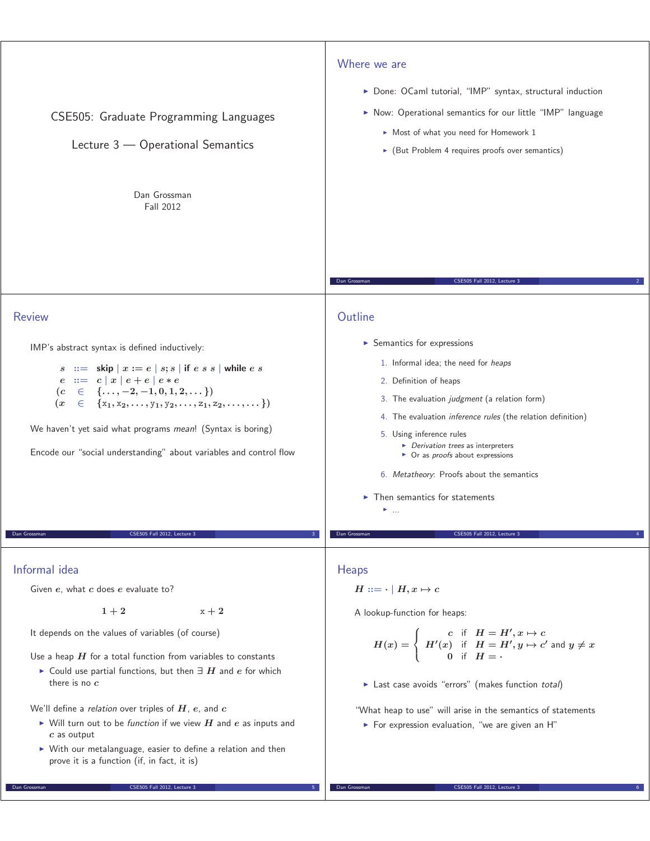| CSE505: Graduate Programming Languages<br>Lecture 3 - Operational Semantics<br>Dan Grossman                                                                                                                                                                                                                                                                                                                                                                                                                     | Where we are<br>> Done: OCaml tutorial, "IMP" syntax, structural induction<br>Now: Operational semantics for our little "IMP" language<br>Most of what you need for Homework 1<br>• (But Problem 4 requires proofs over semantics)                                                                                                                                                                                                                                                   |
|-----------------------------------------------------------------------------------------------------------------------------------------------------------------------------------------------------------------------------------------------------------------------------------------------------------------------------------------------------------------------------------------------------------------------------------------------------------------------------------------------------------------|--------------------------------------------------------------------------------------------------------------------------------------------------------------------------------------------------------------------------------------------------------------------------------------------------------------------------------------------------------------------------------------------------------------------------------------------------------------------------------------|
| Fall 2012<br><b>Review</b>                                                                                                                                                                                                                                                                                                                                                                                                                                                                                      | Dan Grossman<br>CSE505 Fall 2012, Lecture 3<br>Outline                                                                                                                                                                                                                                                                                                                                                                                                                               |
| IMP's abstract syntax is defined inductively:<br>$s$ ::= skip $x := e \mid s; s \mid$ if $e \mid s \mid$ while $e \mid s$<br>$e ::= c   x   e + e   e * e$<br>$\in \{\ldots, -2, -1, 0, 1, 2, \ldots\}$<br>(c <sub>o</sub> )<br>$\in$ {x <sub>1</sub> , x <sub>2</sub> , , y <sub>1</sub> , y <sub>2</sub> , , z <sub>1</sub> , z <sub>2</sub> , ,  })<br>(x <sup>2</sup> )<br>We haven't yet said what programs mean! (Syntax is boring)<br>Encode our "social understanding" about variables and control flow | $\triangleright$ Semantics for expressions<br>1. Informal idea; the need for heaps<br>2. Definition of heaps<br>3. The evaluation judgment (a relation form)<br>4. The evaluation inference rules (the relation definition)<br>5. Using inference rules<br>• Derivation trees as interpreters<br>$\triangleright$ Or as <i>proofs</i> about expressions<br>6. Metatheory: Proofs about the semantics<br>$\blacktriangleright$ Then semantics for statements<br>$\blacktriangleright$ |
| Dan Grossman<br>CSE505 Fall 2012, Lecture 3                                                                                                                                                                                                                                                                                                                                                                                                                                                                     | Dan Grossman<br>CSE505 Fall 2012. Lecture                                                                                                                                                                                                                                                                                                                                                                                                                                            |
| Informal idea<br>Given e, what c does e evaluate to?<br>$1+2$<br>$x + 2$<br>It depends on the values of variables (of course)<br>Use a heap $H$ for a total function from variables to constants                                                                                                                                                                                                                                                                                                                | <b>Heaps</b><br>$H ::= \cdot   H, x \mapsto c$<br>A lookup-function for heaps:<br>$H(x)=\left\{ \begin{array}{cl} c\quad \mbox{if}\quad H=H',x\mapsto c \\ H'(x)\quad \mbox{if}\quad H=H',y\mapsto c'\text{ and }y\neq x \\ 0\quad \mbox{if}\quad H= \, . \end{array} \right.$                                                                                                                                                                                                       |

Last case avoids "errors" (makes function total)

▶ For expression evaluation, "we are given an H"

Dan Grossman CSE505 Fall 2012, Lecture 3

"What heap to use" will arise in the semantics of statements

- Could use partial functions, but then *∃ H* and *e* for which there is no *c*

We'll define a relation over triples of *H*, *e*, and *c*

**Dan Grossman CSE505 Fall 2012, Lecture 3** 

Г

- $\blacktriangleright$  Will turn out to be *function* if we view  $H$  and  $e$  as inputs and *c* as output
- With our metalanguage, easier to define a relation and then prove it is a function (if, in fact, it is)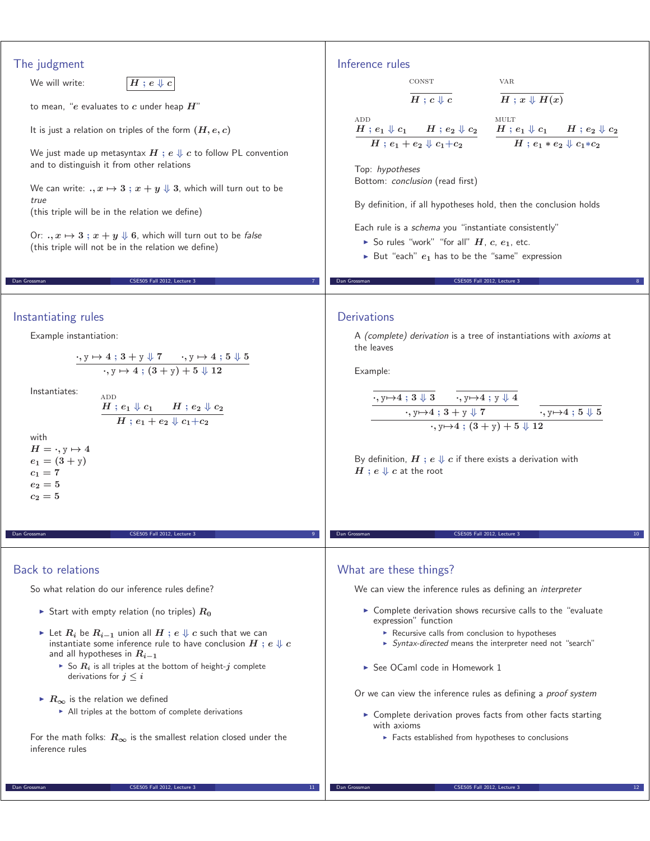## The judgment We will write:  $H : e \Downarrow c$ to mean, "*e* evaluates to *c* under heap *H*" It is just a relation on triples of the form  $(H, e, c)$ We just made up metasyntax  $H$ ;  $e \Downarrow c$  to follow PL convention and to distinguish it from other relations We can write:  $x, x \mapsto 3$ ;  $x + y \Downarrow 3$ , which will turn out to be true (this triple will be in the relation we define) Or:  $x \mapsto 3$  **;**  $x + y \Downarrow 6$ , which will turn out to be false (this triple will not be in the relation we define) Dan Grossman CSE505 Fall 2012, Lecture 3 7 Inference rules const  $H : c \Downarrow c$ var  $H: x \Downarrow H(x)$ **ADD**  $H$  ;  $e_1 \Downarrow c_1$  *H* ;  $e_2 \Downarrow c_2$  $H$ ;  $e_1 + e_2 \Downarrow c_1 + c_2$ mult  $H$  ;  $e_1 \Downarrow c_1$  *H* ;  $e_2 \Downarrow c_2$  $H$ ;  $e_1 * e_2 \Downarrow c_1 * c_2$ Top: hypotheses Bottom: conclusion (read first) By definition, if all hypotheses hold, then the conclusion holds Each rule is a schema you "instantiate consistently"  $\blacktriangleright$  So rules "work" "for all"  $H$ ,  $c$ ,  $e_1$ , etc. ▶ But "each"  $e_1$  has to be the "same" expression CSE505 Fall 2012, Lecture 3 Instantiating rules Example instantiation: *·,* y *→* **<sup>4</sup> ; 3 +** y *⇓* **<sup>7</sup>** *·,* y *→* **<sup>4</sup> ; <sup>5</sup>** *⇓* **<sup>5</sup>** *·,* y *→* **<sup>4</sup> ; (3 +** y**)+5** *⇓* **<sup>12</sup>** Instantiates:  $H$  ;  $e_1 \Downarrow c_1$   $H$  ;  $e_2 \Downarrow c_2$  $H$  ;  $e_1 + e_2 \Downarrow c_1 + c_2$ with  $H = \cdot$ ,  $y \mapsto 4$  $e_1 = (3 + y)$  $c_1 = 7$ *e***<sup>2</sup> = 5**  $c_2 = 5$ CSE505 Fall 2012, Lecture 3 **Derivations** A (complete) derivation is a tree of instantiations with axioms at the leaves Example: *·,* y*→***<sup>4</sup> ; <sup>3</sup>** *⇓* **<sup>3</sup>** *·,* y*→***<sup>4</sup> ;** y *⇓* **<sup>4</sup>** *·,* y*→***<sup>4</sup> ; 3 +** y *⇓* **<sup>7</sup>** *·,* y*→***<sup>4</sup> ; <sup>5</sup>** *⇓* **<sup>5</sup>** *·,* y*→***<sup>4</sup> ; (3 +** y**)+5** *⇓* **<sup>12</sup>** By definition,  $H$ ;  $e \Downarrow c$  if there exists a derivation with  $H$ ;  $e \Downarrow c$  at the root CSE505 Fall 2012, Lecture 3 Back to relations So what relation do our inference rules define?  $\blacktriangleright$  Start with empty relation (no triples)  $R_0$ - Let *R<sup>i</sup>* be *Ri−***<sup>1</sup>** union all *H* **;** *e ⇓ c* such that we can instantiate some inference rule to have conclusion  $H$ ;  $e \Downarrow c$ and all hypotheses in *Ri−***<sup>1</sup>**  $\blacktriangleright$  So  $R_i$  is all triples at the bottom of height- $j$  complete derivations for  $j \leq i$ - *R<sup>∞</sup>* is the relation we defined - All triples at the bottom of complete derivations For the math folks:  $R_{\infty}$  is the smallest relation closed under the inference rules What are these things? We can view the inference rules as defining an *interpreter* - Complete derivation shows recursive calls to the "evaluate expression" function **EXECUTS** Recursive calls from conclusion to hypotheses ▶ Syntax-directed means the interpreter need not "search" ► See OCaml code in Homework 1 Or we can view the inference rules as defining a proof system - Complete derivation proves facts from other facts starting with axioms **Facts established from hypotheses to conclusions**

Dan Grossman CSE505 Fall 2012, Lecture 3 111

Dan Grossman CSE505 Fall 2012, Lecture 3 12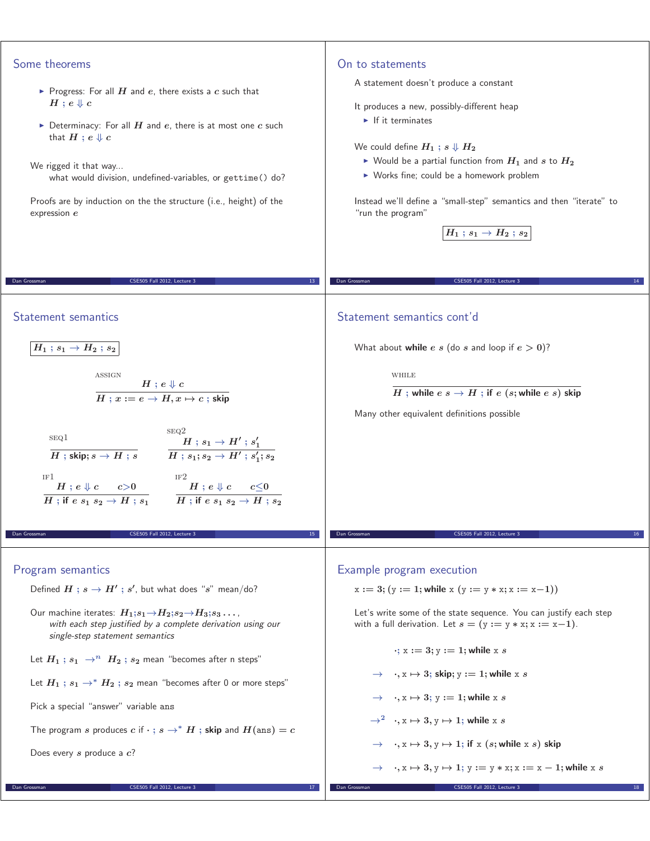| Some theorems<br>▶ Progress: For all $H$ and $e$ , there exists a $c$ such that<br>$H$ ; $e \Downarrow c$<br>Determinacy: For all $H$ and $e$ , there is at most one $c$ such<br>that $H$ ; $e \Downarrow c$<br>We rigged it that way<br>what would division, undefined-variables, or gettime() do?<br>Proofs are by induction on the the structure (i.e., height) of the<br>expression $e$                                                                                                                                                                              | On to statements<br>A statement doesn't produce a constant<br>It produces a new, possibly-different heap<br>$\blacktriangleright$ If it terminates<br>We could define $H_1$ ; $s \Downarrow H_2$<br>Nould be a partial function from $H_1$ and s to $H_2$<br>▶ Works fine; could be a homework problem<br>Instead we'll define a "small-step" semantics and then "iterate" to<br>"run the program"<br>$\overline{H_1:s_1}\rightarrow H_2:s_2$ |
|--------------------------------------------------------------------------------------------------------------------------------------------------------------------------------------------------------------------------------------------------------------------------------------------------------------------------------------------------------------------------------------------------------------------------------------------------------------------------------------------------------------------------------------------------------------------------|-----------------------------------------------------------------------------------------------------------------------------------------------------------------------------------------------------------------------------------------------------------------------------------------------------------------------------------------------------------------------------------------------------------------------------------------------|
| CSE505 Fall 2012, Lecture 3                                                                                                                                                                                                                                                                                                                                                                                                                                                                                                                                              | CSE505 Fall 2012, Lecture 3                                                                                                                                                                                                                                                                                                                                                                                                                   |
| Dan Grossman                                                                                                                                                                                                                                                                                                                                                                                                                                                                                                                                                             | Dan Grossman                                                                                                                                                                                                                                                                                                                                                                                                                                  |
| 13                                                                                                                                                                                                                                                                                                                                                                                                                                                                                                                                                                       | 14                                                                                                                                                                                                                                                                                                                                                                                                                                            |
| Statement semantics<br>$H_1$ ; $s_1 \rightarrow H_2$ ; $s_2$<br>ASSIGN<br>$\frac{H:e\Downarrow c}{H:x:=e\rightarrow H,x\mapsto c \; ; \, \mathsf{skip}}$<br>SEQ <sub>2</sub><br>SEQ1<br>$\frac{H : s_1 \rightarrow H': s_1'}{H : s_1; s_2 \rightarrow H': s_1'; s_2}$<br>$H$ ; skip; $s \to H$ ; $s$<br>IF1<br>$\begin{array}{ccc} \overline{H} : e \Downarrow c & c \!>\! 0 & \overline{H} : e \Downarrow c & c \!\leq\! 0 \ \overline{H} : \text{if } e \,s_1 \,s_2 \rightarrow H \ ; s_1 & \overline{H} : \text{if } e \,s_1 \,s_2 \rightarrow H \ ; s_2 \end{array}$ | Statement semantics cont'd<br>What about while e s (do s and loop if $e > 0$ )?<br>WHILE<br>H ; while $e \ s \to H$ ; if $e \ (s;$ while $e \ s)$ skip<br>Many other equivalent definitions possible                                                                                                                                                                                                                                          |
| Dan Grossman<br>CSE505 Fall 2012, Lecture 3<br>15                                                                                                                                                                                                                                                                                                                                                                                                                                                                                                                        | CSE505 Fall 2012, Lecture 3<br>Dan Grossman                                                                                                                                                                                                                                                                                                                                                                                                   |
| Program semantics                                                                                                                                                                                                                                                                                                                                                                                                                                                                                                                                                        | Example program execution                                                                                                                                                                                                                                                                                                                                                                                                                     |
| Defined $H$ ; $s \rightarrow H'$ ; $s'$ , but what does "s" mean/do?                                                                                                                                                                                                                                                                                                                                                                                                                                                                                                     | $x := 3$ ; $(y := 1$ ; while $x (y := y * x; x := x-1)$                                                                                                                                                                                                                                                                                                                                                                                       |
| Our machine iterates: $H_1; s_1 \rightarrow H_2; s_2 \rightarrow H_3; s_3 \dots$                                                                                                                                                                                                                                                                                                                                                                                                                                                                                         | Let's write some of the state sequence. You can justify each step                                                                                                                                                                                                                                                                                                                                                                             |
| with each step justified by a complete derivation using our                                                                                                                                                                                                                                                                                                                                                                                                                                                                                                              | with a full derivation. Let $s = (y := y * x; x := x-1)$ .                                                                                                                                                                                                                                                                                                                                                                                    |
| single-step statement semantics                                                                                                                                                                                                                                                                                                                                                                                                                                                                                                                                          | $\cdot$ ; x := 3; y := 1; while x s                                                                                                                                                                                                                                                                                                                                                                                                           |
| Let $H_1$ ; $s_1 \rightarrow^n H_2$ ; $s_2$ mean "becomes after n steps"                                                                                                                                                                                                                                                                                                                                                                                                                                                                                                 | $\rightarrow \quad$ , $x \mapsto 3$ ; skip; $y := 1$ ; while x s                                                                                                                                                                                                                                                                                                                                                                              |
| Let $H_1$ ; $s_1 \rightarrow^* H_2$ ; $s_2$ mean "becomes after 0 or more steps"                                                                                                                                                                                                                                                                                                                                                                                                                                                                                         | $\rightarrow \rightarrow x \mapsto 3$ ; y := 1; while x s                                                                                                                                                                                                                                                                                                                                                                                     |
| Pick a special "answer" variable ans                                                                                                                                                                                                                                                                                                                                                                                                                                                                                                                                     | $\rightarrow^2$ , $x \mapsto 3, y \mapsto 1$ ; while x s                                                                                                                                                                                                                                                                                                                                                                                      |
| The program s produces c if $\cdot$ ; $s \to^* H$ ; skip and $H(\text{ans}) = c$                                                                                                                                                                                                                                                                                                                                                                                                                                                                                         | $\rightarrow \rightarrow x \mapsto 3, y \mapsto 1$ ; if x (s; while x s) skip                                                                                                                                                                                                                                                                                                                                                                 |
| Does every $s$ produce a $c$ ?                                                                                                                                                                                                                                                                                                                                                                                                                                                                                                                                           | $\rightarrow \quad$ , $x \mapsto 3$ , $y \mapsto 1$ ; $y := y * x$ ; $x := x - 1$ ; while x s                                                                                                                                                                                                                                                                                                                                                 |
| CSE505 Fall 2012, Lecture 3                                                                                                                                                                                                                                                                                                                                                                                                                                                                                                                                              | CSE505 Fall 2012, Lecture 3                                                                                                                                                                                                                                                                                                                                                                                                                   |
| Dan Grossman                                                                                                                                                                                                                                                                                                                                                                                                                                                                                                                                                             | Dan Grossman                                                                                                                                                                                                                                                                                                                                                                                                                                  |
| 17                                                                                                                                                                                                                                                                                                                                                                                                                                                                                                                                                                       | 18                                                                                                                                                                                                                                                                                                                                                                                                                                            |